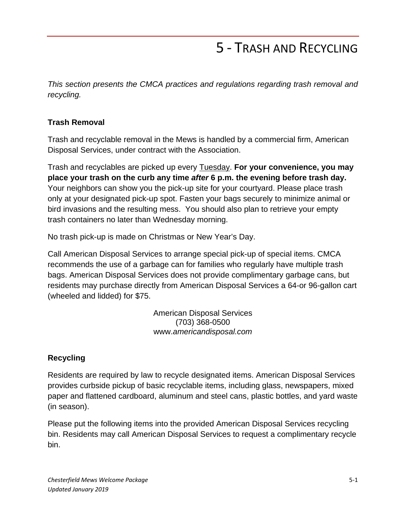# 5 - TRASH AND RECYCLING

*This section presents the CMCA practices and regulations regarding trash removal and recycling.*

### **Trash Removal**

Trash and recyclable removal in the Mews is handled by a commercial firm, American Disposal Services, under contract with the Association.

Trash and recyclables are picked up every Tuesday. **For your convenience, you may place your trash on the curb any time** *after* **6 p.m. the evening before trash day.** Your neighbors can show you the pick-up site for your courtyard. Please place trash only at your designated pick-up spot. Fasten your bags securely to minimize animal or bird invasions and the resulting mess. You should also plan to retrieve your empty trash containers no later than Wednesday morning.

No trash pick-up is made on Christmas or New Year's Day.

Call American Disposal Services to arrange special pick-up of special items. CMCA recommends the use of a garbage can for families who regularly have multiple trash bags. American Disposal Services does not provide complimentary garbage cans, but residents may purchase directly from American Disposal Services a 64-or 96-gallon cart (wheeled and lidded) for \$75.

> American Disposal Services (703) 368-0500 www.*americandisposal.com*

## **Recycling**

Residents are required by law to recycle designated items. American Disposal Services provides curbside pickup of basic recyclable items, including glass, newspapers, mixed paper and flattened cardboard, aluminum and steel cans, plastic bottles, and yard waste (in season).

Please put the following items into the provided American Disposal Services recycling bin. Residents may call American Disposal Services to request a complimentary recycle bin.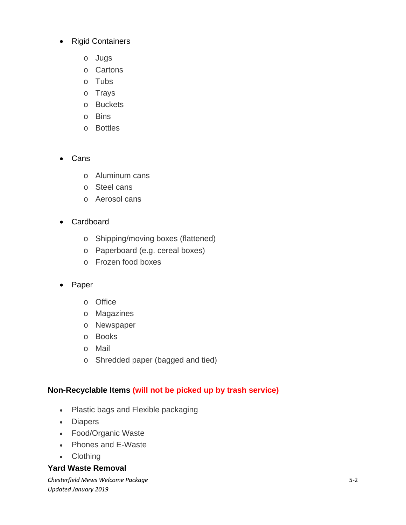- Rigid Containers
	- o Jugs
	- o Cartons
	- o Tubs
	- o Trays
	- o Buckets
	- o Bins
	- o Bottles

#### • Cans

- o Aluminum cans
- o Steel cans
- o Aerosol cans
- Cardboard
	- o Shipping/moving boxes (flattened)
	- o Paperboard (e.g. cereal boxes)
	- o Frozen food boxes

#### • Paper

- o Office
- o Magazines
- o Newspaper
- o Books
- o Mail
- o Shredded paper (bagged and tied)

#### **Non-Recyclable Items (will not be picked up by trash service)**

- Plastic bags and Flexible packaging
- Diapers
- Food/Organic Waste
- Phones and E-Waste
- Clothing

#### **Yard Waste Removal**

*Chesterfield Mews Welcome Package Updated January 2019*